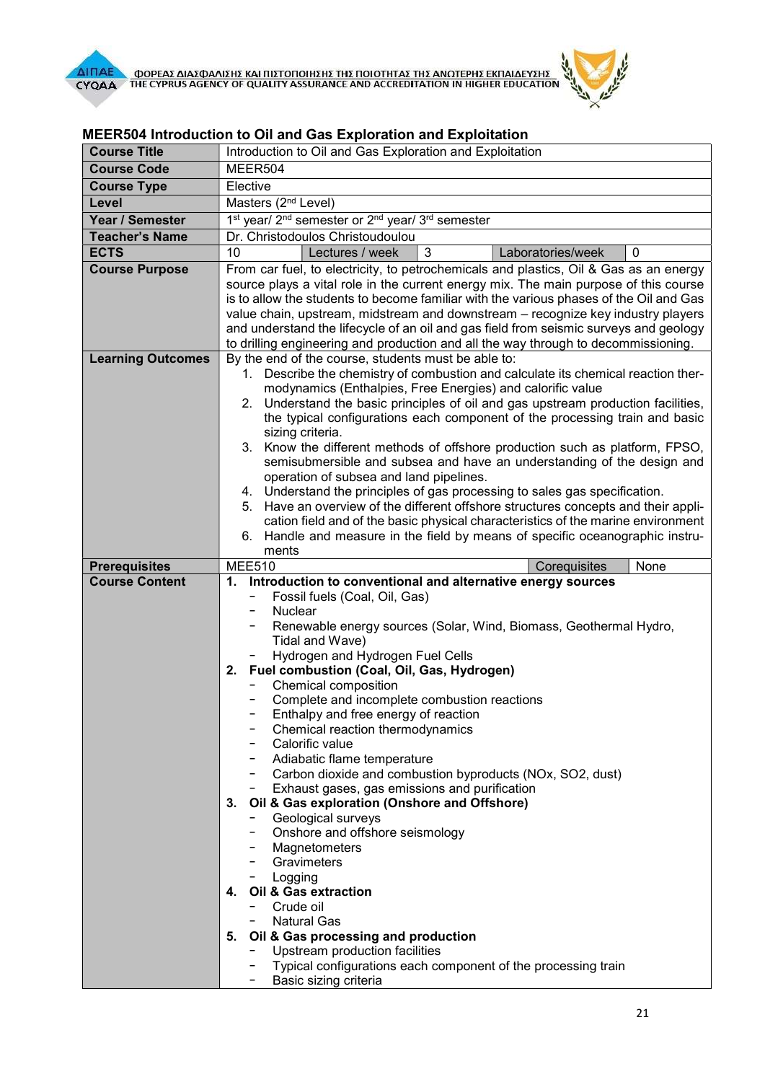



| <b>Course Title</b>      | Introduction to Oil and Gas Exploration and Exploitation                                                                                        |
|--------------------------|-------------------------------------------------------------------------------------------------------------------------------------------------|
| <b>Course Code</b>       | MEER504                                                                                                                                         |
| <b>Course Type</b>       | Elective                                                                                                                                        |
| Level                    | Masters (2 <sup>nd</sup> Level)                                                                                                                 |
| Year / Semester          | 1 <sup>st</sup> year/ 2 <sup>nd</sup> semester or 2 <sup>nd</sup> year/ 3 <sup>rd</sup> semester                                                |
| <b>Teacher's Name</b>    | Dr. Christodoulos Christoudoulou                                                                                                                |
| <b>ECTS</b>              | $\mathbf{3}$<br>10<br>Lectures / week<br>Laboratories/week<br>0                                                                                 |
| <b>Course Purpose</b>    | From car fuel, to electricity, to petrochemicals and plastics, Oil & Gas as an energy                                                           |
|                          | source plays a vital role in the current energy mix. The main purpose of this course                                                            |
|                          | is to allow the students to become familiar with the various phases of the Oil and Gas                                                          |
|                          | value chain, upstream, midstream and downstream - recognize key industry players                                                                |
|                          | and understand the lifecycle of an oil and gas field from seismic surveys and geology                                                           |
|                          | to drilling engineering and production and all the way through to decommissioning.                                                              |
| <b>Learning Outcomes</b> | By the end of the course, students must be able to:                                                                                             |
|                          | 1. Describe the chemistry of combustion and calculate its chemical reaction ther-                                                               |
|                          | modynamics (Enthalpies, Free Energies) and calorific value<br>2. Understand the basic principles of oil and gas upstream production facilities, |
|                          | the typical configurations each component of the processing train and basic                                                                     |
|                          | sizing criteria.                                                                                                                                |
|                          | 3. Know the different methods of offshore production such as platform, FPSO,                                                                    |
|                          | semisubmersible and subsea and have an understanding of the design and                                                                          |
|                          | operation of subsea and land pipelines.                                                                                                         |
|                          | 4. Understand the principles of gas processing to sales gas specification.                                                                      |
|                          | Have an overview of the different offshore structures concepts and their appli-<br>5.                                                           |
|                          | cation field and of the basic physical characteristics of the marine environment                                                                |
|                          | Handle and measure in the field by means of specific oceanographic instru-<br>6.<br>ments                                                       |
| <b>Prerequisites</b>     | <b>MEE510</b><br>None<br>Corequisites                                                                                                           |
| <b>Course Content</b>    | 1. Introduction to conventional and alternative energy sources                                                                                  |
|                          | Fossil fuels (Coal, Oil, Gas)                                                                                                                   |
|                          | Nuclear                                                                                                                                         |
|                          | Renewable energy sources (Solar, Wind, Biomass, Geothermal Hydro,                                                                               |
|                          | Tidal and Wave)                                                                                                                                 |
|                          | Hydrogen and Hydrogen Fuel Cells<br>2. Fuel combustion (Coal, Oil, Gas, Hydrogen)                                                               |
|                          | Chemical composition                                                                                                                            |
|                          | Complete and incomplete combustion reactions                                                                                                    |
|                          | Enthalpy and free energy of reaction                                                                                                            |
|                          | Chemical reaction thermodynamics                                                                                                                |
|                          | Calorific value                                                                                                                                 |
|                          | Adiabatic flame temperature                                                                                                                     |
|                          | - Carbon dioxide and combustion byproducts (NOx, SO2, dust)                                                                                     |
|                          |                                                                                                                                                 |
|                          | Exhaust gases, gas emissions and purification                                                                                                   |
|                          | 3. Oil & Gas exploration (Onshore and Offshore)                                                                                                 |
|                          | Geological surveys                                                                                                                              |
|                          | - Onshore and offshore seismology                                                                                                               |
|                          | Magnetometers<br>- Gravimeters                                                                                                                  |
|                          | - Logging                                                                                                                                       |
|                          | 4. Oil & Gas extraction                                                                                                                         |
|                          | Crude oil<br>$-$                                                                                                                                |
|                          | <b>Natural Gas</b>                                                                                                                              |
|                          | 5. Oil & Gas processing and production                                                                                                          |
|                          | - Upstream production facilities<br>- Typical configurations each component of the processing train                                             |

## MEER504 Introduction to Oil and Gas Exploration and Exploitation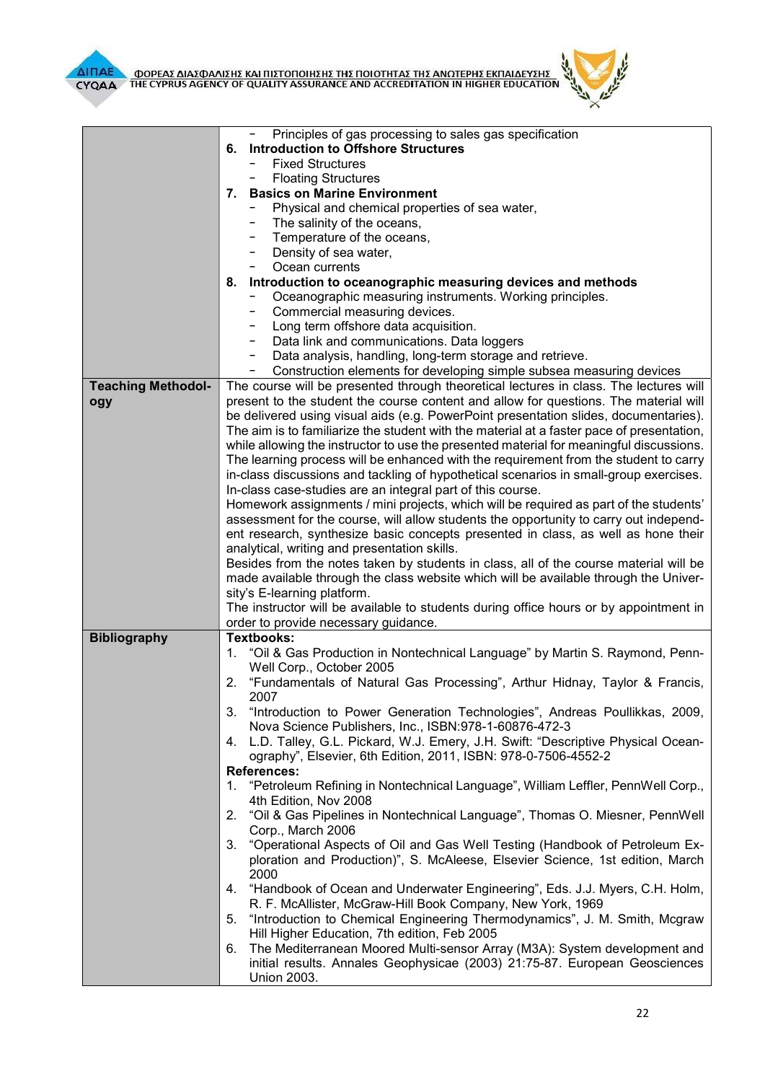

 $\overline{I}$ 

|                           | Principles of gas processing to sales gas specification                                   |
|---------------------------|-------------------------------------------------------------------------------------------|
|                           | 6. Introduction to Offshore Structures                                                    |
|                           | <b>Fixed Structures</b>                                                                   |
|                           | <b>Floating Structures</b>                                                                |
|                           | 7. Basics on Marine Environment                                                           |
|                           | Physical and chemical properties of sea water,                                            |
|                           | The salinity of the oceans,                                                               |
|                           | Temperature of the oceans,                                                                |
|                           | Density of sea water,                                                                     |
|                           | Ocean currents<br>$-$                                                                     |
|                           |                                                                                           |
|                           | 8. Introduction to oceanographic measuring devices and methods                            |
|                           | Oceanographic measuring instruments. Working principles.                                  |
|                           | Commercial measuring devices.                                                             |
|                           | Long term offshore data acquisition.                                                      |
|                           | Data link and communications. Data loggers                                                |
|                           | Data analysis, handling, long-term storage and retrieve.<br>-                             |
|                           | Construction elements for developing simple subsea measuring devices<br>-                 |
| <b>Teaching Methodol-</b> | The course will be presented through theoretical lectures in class. The lectures will     |
| ogy                       | present to the student the course content and allow for questions. The material will      |
|                           | be delivered using visual aids (e.g. PowerPoint presentation slides, documentaries).      |
|                           | The aim is to familiarize the student with the material at a faster pace of presentation, |
|                           | while allowing the instructor to use the presented material for meaningful discussions.   |
|                           | The learning process will be enhanced with the requirement from the student to carry      |
|                           | in-class discussions and tackling of hypothetical scenarios in small-group exercises.     |
|                           | In-class case-studies are an integral part of this course.                                |
|                           | Homework assignments / mini projects, which will be required as part of the students'     |
|                           | assessment for the course, will allow students the opportunity to carry out independ-     |
|                           | ent research, synthesize basic concepts presented in class, as well as hone their         |
|                           | analytical, writing and presentation skills.                                              |
|                           | Besides from the notes taken by students in class, all of the course material will be     |
|                           |                                                                                           |
|                           | made available through the class website which will be available through the Univer-      |
|                           | sity's E-learning platform.                                                               |
|                           | The instructor will be available to students during office hours or by appointment in     |
|                           | order to provide necessary guidance.                                                      |
| <b>Bibliography</b>       | <b>Textbooks:</b>                                                                         |
|                           | "Oil & Gas Production in Nontechnical Language" by Martin S. Raymond, Penn-<br>1.         |
|                           | Well Corp., October 2005                                                                  |
|                           | 2. "Fundamentals of Natural Gas Processing", Arthur Hidnay, Taylor & Francis,             |
|                           | 2007                                                                                      |
|                           | 3.<br>"Introduction to Power Generation Technologies", Andreas Poullikkas, 2009,          |
|                           | Nova Science Publishers, Inc., ISBN:978-1-60876-472-3                                     |
|                           | 4. L.D. Talley, G.L. Pickard, W.J. Emery, J.H. Swift: "Descriptive Physical Ocean-        |
|                           | ography", Elsevier, 6th Edition, 2011, ISBN: 978-0-7506-4552-2                            |
|                           | <b>References:</b>                                                                        |
|                           | "Petroleum Refining in Nontechnical Language", William Leffler, PennWell Corp.,<br>1.     |
|                           | 4th Edition, Nov 2008                                                                     |
|                           | "Oil & Gas Pipelines in Nontechnical Language", Thomas O. Miesner, PennWell<br>2.         |
|                           | Corp., March 2006                                                                         |
|                           | 3. "Operational Aspects of Oil and Gas Well Testing (Handbook of Petroleum Ex-            |
|                           | ploration and Production)", S. McAleese, Elsevier Science, 1st edition, March             |
|                           | 2000                                                                                      |
|                           | 4. "Handbook of Ocean and Underwater Engineering", Eds. J.J. Myers, C.H. Holm,            |
|                           | R. F. McAllister, McGraw-Hill Book Company, New York, 1969                                |
|                           | "Introduction to Chemical Engineering Thermodynamics", J. M. Smith, Mcgraw<br>5.          |
|                           | Hill Higher Education, 7th edition, Feb 2005                                              |
|                           |                                                                                           |
|                           | The Mediterranean Moored Multi-sensor Array (M3A): System development and<br>6.           |
|                           | initial results. Annales Geophysicae (2003) 21:75-87. European Geosciences                |
|                           | <b>Union 2003.</b>                                                                        |